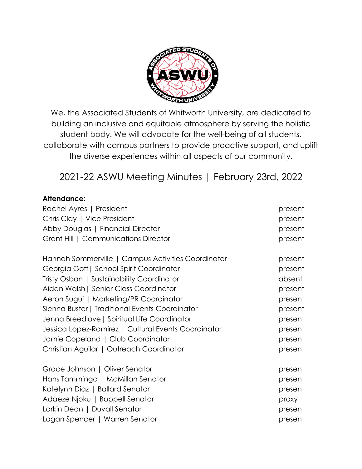

We, the Associated Students of Whitworth University, are dedicated to building an inclusive and equitable atmosphere by serving the holistic student body. We will advocate for the well-being of all students, collaborate with campus partners to provide proactive support, and uplift the diverse experiences within all aspects of our community.

2021-22 ASWU Meeting Minutes | February 23rd, 2022

### **Attendance:**

| Rachel Ayres   President                            | present |
|-----------------------------------------------------|---------|
| Chris Clay   Vice President                         | present |
| Abby Douglas   Financial Director                   | present |
| Grant Hill   Communications Director                | present |
| Hannah Sommerville   Campus Activities Coordinator  | present |
| Georgia Goff   School Spirit Coordinator            | present |
| Tristy Osbon   Sustainability Coordinator           | absent  |
| Aidan Walsh   Senior Class Coordinator              | present |
| Aeron Sugui   Marketing/PR Coordinator              | present |
| Sienna Buster   Traditional Events Coordinator      | present |
| Jenna Breedlove   Spiritual Life Coordinator        | present |
| Jessica Lopez-Ramirez   Cultural Events Coordinator | present |
| Jamie Copeland   Club Coordinator                   | present |
| Christian Aguilar   Outreach Coordinator            | present |
| Grace Johnson   Oliver Senator                      | present |
| Hans Tamminga   McMillan Senator                    | present |
| Katelynn Diaz   Ballard Senator                     | present |
| Adaeze Njoku   Boppell Senator                      | proxy   |
| Larkin Dean   Duvall Senator                        | present |
| Logan Spencer   Warren Senator                      | present |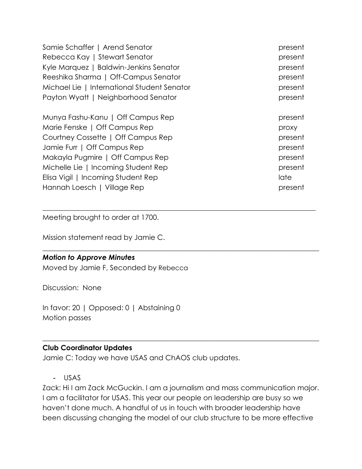| Samie Schaffer   Arend Senator              | present |
|---------------------------------------------|---------|
| Rebecca Kay   Stewart Senator               | present |
| Kyle Marquez   Baldwin-Jenkins Senator      | present |
| Reeshika Sharma   Off-Campus Senator        | present |
| Michael Lie   International Student Senator | present |
| Payton Wyatt   Neighborhood Senator         | present |
| Munya Fashu-Kanu   Off Campus Rep           | present |
| Marie Fenske   Off Campus Rep               | proxy   |
| Courtney Cossette   Off Campus Rep          | present |
| Jamie Furr   Off Campus Rep                 | present |
| Makayla Pugmire   Off Campus Rep            | present |
| Michelle Lie   Incoming Student Rep         | present |
| Elisa Vigil   Incoming Student Rep          | late    |
| Hannah Loesch   Village Rep                 | present |

 $\_$  , and the set of the set of the set of the set of the set of the set of the set of the set of the set of the set of the set of the set of the set of the set of the set of the set of the set of the set of the set of th

\_\_\_\_\_\_\_\_\_\_\_\_\_\_\_\_\_\_\_\_\_\_\_\_\_\_\_\_\_\_\_\_\_\_\_\_\_\_\_\_\_\_\_\_\_\_\_\_\_\_\_\_\_\_\_\_\_\_\_\_\_\_\_\_\_\_\_\_\_\_\_\_\_\_\_\_\_\_

Meeting brought to order at 1700.

Mission statement read by Jamie C.

#### *Motion to Approve Minutes*

Moved by Jamie F, Seconded by Rebecca

Discussion: None

In favor: 20 | Opposed: 0 | Abstaining 0 Motion passes

### **Club Coordinator Updates**

Jamie C: Today we have USAS and ChAOS club updates.

- USAS

Zack: Hi I am Zack McGuckin. I am a journalism and mass communication major. I am a facilitator for USAS. This year our people on leadership are busy so we haven't done much. A handful of us in touch with broader leadership have been discussing changing the model of our club structure to be more effective

 $\_$  , and the set of the set of the set of the set of the set of the set of the set of the set of the set of the set of the set of the set of the set of the set of the set of the set of the set of the set of the set of th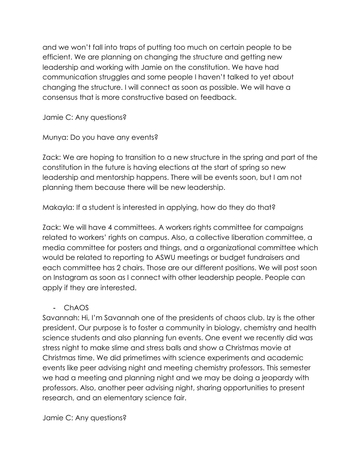and we won't fall into traps of putting too much on certain people to be efficient. We are planning on changing the structure and getting new leadership and working with Jamie on the constitution. We have had communication struggles and some people I haven't talked to yet about changing the structure. I will connect as soon as possible. We will have a consensus that is more constructive based on feedback.

Jamie C: Any questions?

Munya: Do you have any events?

Zack: We are hoping to transition to a new structure in the spring and part of the constitution in the future is having elections at the start of spring so new leadership and mentorship happens. There will be events soon, but I am not planning them because there will be new leadership.

Makayla: If a student is interested in applying, how do they do that?

Zack: We will have 4 committees. A workers rights committee for campaigns related to workers' rights on campus. Also, a collective liberation committee, a media committee for posters and things, and a organizational committee which would be related to reporting to ASWU meetings or budget fundraisers and each committee has 2 chairs. Those are our different positions. We will post soon on Instagram as soon as I connect with other leadership people. People can apply if they are interested.

- ChAOS

Savannah: Hi, I'm Savannah one of the presidents of chaos club. Izy is the other president. Our purpose is to foster a community in biology, chemistry and health science students and also planning fun events. One event we recently did was stress night to make slime and stress balls and show a Christmas movie at Christmas time. We did primetimes with science experiments and academic events like peer advising night and meeting chemistry professors. This semester we had a meeting and planning night and we may be doing a jeopardy with professors. Also, another peer advising night, sharing opportunities to present research, and an elementary science fair.

Jamie C: Any questions?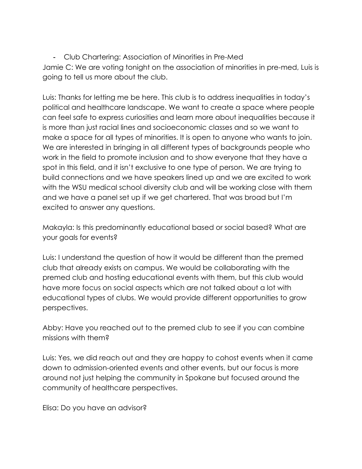- Club Chartering: Association of Minorities in Pre-Med Jamie C: We are voting tonight on the association of minorities in pre-med, Luis is going to tell us more about the club.

Luis: Thanks for letting me be here. This club is to address inequalities in today's political and healthcare landscape. We want to create a space where people can feel safe to express curiosities and learn more about inequalities because it is more than just racial lines and socioeconomic classes and so we want to make a space for all types of minorities. It is open to anyone who wants to join. We are interested in bringing in all different types of backgrounds people who work in the field to promote inclusion and to show everyone that they have a spot in this field, and it isn't exclusive to one type of person. We are trying to build connections and we have speakers lined up and we are excited to work with the WSU medical school diversity club and will be working close with them and we have a panel set up if we get chartered. That was broad but I'm excited to answer any questions.

Makayla: Is this predominantly educational based or social based? What are your goals for events?

Luis: I understand the question of how it would be different than the premed club that already exists on campus. We would be collaborating with the premed club and hosting educational events with them, but this club would have more focus on social aspects which are not talked about a lot with educational types of clubs. We would provide different opportunities to grow perspectives.

Abby: Have you reached out to the premed club to see if you can combine missions with them?

Luis: Yes, we did reach out and they are happy to cohost events when it came down to admission-oriented events and other events, but our focus is more around not just helping the community in Spokane but focused around the community of healthcare perspectives.

Elisa: Do you have an advisor?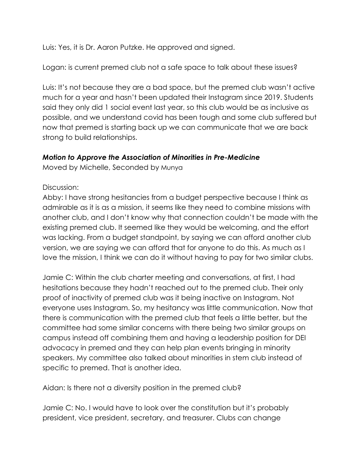Luis: Yes, it is Dr. Aaron Putzke. He approved and signed.

Logan: is current premed club not a safe space to talk about these issues?

Luis: It's not because they are a bad space, but the premed club wasn't active much for a year and hasn't been updated their Instagram since 2019. Students said they only did 1 social event last year, so this club would be as inclusive as possible, and we understand covid has been tough and some club suffered but now that premed is starting back up we can communicate that we are back strong to build relationships.

# *Motion to Approve the Association of Minorities in Pre-Medicine*

Moved by Michelle, Seconded by Munya

## Discussion:

Abby: I have strong hesitancies from a budget perspective because I think as admirable as it is as a mission, it seems like they need to combine missions with another club, and I don't know why that connection couldn't be made with the existing premed club. It seemed like they would be welcoming, and the effort was lacking. From a budget standpoint, by saying we can afford another club version, we are saying we can afford that for anyone to do this. As much as I love the mission, I think we can do it without having to pay for two similar clubs.

Jamie C: Within the club charter meeting and conversations, at first, I had hesitations because they hadn't reached out to the premed club. Their only proof of inactivity of premed club was it being inactive on Instagram. Not everyone uses Instagram. So, my hesitancy was little communication. Now that there is communication with the premed club that feels a little better, but the committee had some similar concerns with there being two similar groups on campus instead off combining them and having a leadership position for DEI advocacy in premed and they can help plan events bringing in minority speakers. My committee also talked about minorities in stem club instead of specific to premed. That is another idea.

Aidan: Is there not a diversity position in the premed club?

Jamie C: No. I would have to look over the constitution but it's probably president, vice president, secretary, and treasurer. Clubs can change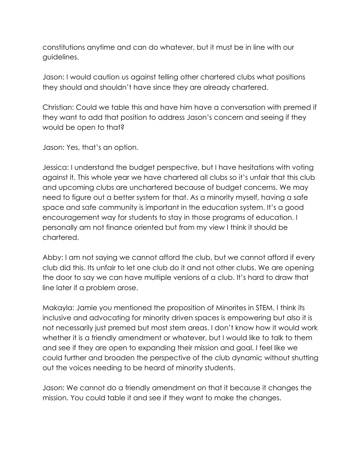constitutions anytime and can do whatever, but it must be in line with our guidelines.

Jason: I would caution us against telling other chartered clubs what positions they should and shouldn't have since they are already chartered.

Christian: Could we table this and have him have a conversation with premed if they want to add that position to address Jason's concern and seeing if they would be open to that?

Jason: Yes, that's an option.

Jessica: I understand the budget perspective, but I have hesitations with voting against it. This whole year we have chartered all clubs so it's unfair that this club and upcoming clubs are unchartered because of budget concerns. We may need to figure out a better system for that. As a minority myself, having a safe space and safe community is important in the education system. It's a good encouragement way for students to stay in those programs of education. I personally am not finance oriented but from my view I think it should be chartered.

Abby: I am not saying we cannot afford the club, but we cannot afford if every club did this. Its unfair to let one club do it and not other clubs. We are opening the door to say we can have multiple versions of a club. It's hard to draw that line later if a problem arose.

Makayla: Jamie you mentioned the proposition of Minorites in STEM. I think its inclusive and advocating for minority driven spaces is empowering but also it is not necessarily just premed but most stem areas. I don't know how it would work whether it is a friendly amendment or whatever, but I would like to talk to them and see if they are open to expanding their mission and goal. I feel like we could further and broaden the perspective of the club dynamic without shutting out the voices needing to be heard of minority students.

Jason: We cannot do a friendly amendment on that it because it changes the mission. You could table it and see if they want to make the changes.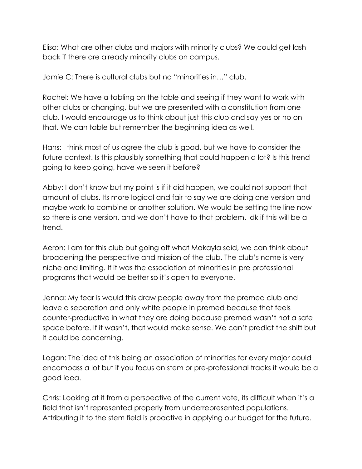Elisa: What are other clubs and majors with minority clubs? We could get lash back if there are already minority clubs on campus.

Jamie C: There is cultural clubs but no "minorities in…" club.

Rachel: We have a tabling on the table and seeing if they want to work with other clubs or changing, but we are presented with a constitution from one club. I would encourage us to think about just this club and say yes or no on that. We can table but remember the beginning idea as well.

Hans: I think most of us agree the club is good, but we have to consider the future context. Is this plausibly something that could happen a lot? Is this trend going to keep going, have we seen it before?

Abby: I don't know but my point is if it did happen, we could not support that amount of clubs. Its more logical and fair to say we are doing one version and maybe work to combine or another solution. We would be setting the line now so there is one version, and we don't have to that problem. Idk if this will be a trend.

Aeron: I am for this club but going off what Makayla said, we can think about broadening the perspective and mission of the club. The club's name is very niche and limiting. If it was the association of minorities in pre professional programs that would be better so it's open to everyone.

Jenna: My fear is would this draw people away from the premed club and leave a separation and only white people in premed because that feels counter-productive in what they are doing because premed wasn't not a safe space before. If it wasn't, that would make sense. We can't predict the shift but it could be concerning.

Logan: The idea of this being an association of minorities for every major could encompass a lot but if you focus on stem or pre-professional tracks it would be a good idea.

Chris: Looking at it from a perspective of the current vote, its difficult when it's a field that isn't represented properly from underrepresented populations. Attributing it to the stem field is proactive in applying our budget for the future.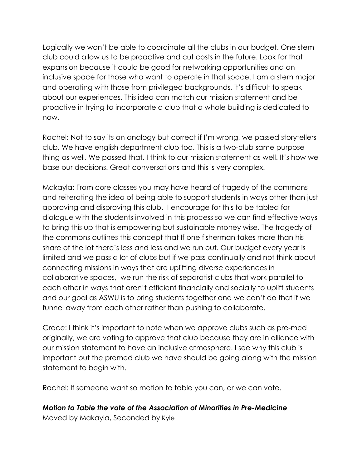Logically we won't be able to coordinate all the clubs in our budget. One stem club could allow us to be proactive and cut costs in the future. Look for that expansion because it could be good for networking opportunities and an inclusive space for those who want to operate in that space. I am a stem major and operating with those from privileged backgrounds, it's difficult to speak about our experiences. This idea can match our mission statement and be proactive in trying to incorporate a club that a whole building is dedicated to now.

Rachel: Not to say its an analogy but correct if I'm wrong, we passed storytellers club. We have english department club too. This is a two-club same purpose thing as well. We passed that. I think to our mission statement as well. It's how we base our decisions. Great conversations and this is very complex.

Makayla: From core classes you may have heard of tragedy of the commons and reiterating the idea of being able to support students in ways other than just approving and disproving this club. I encourage for this to be tabled for dialogue with the students involved in this process so we can find effective ways to bring this up that is empowering but sustainable money wise. The tragedy of the commons outlines this concept that If one fisherman takes more than his share of the lot there's less and less and we run out. Our budget every year is limited and we pass a lot of clubs but if we pass continually and not think about connecting missions in ways that are uplifting diverse experiences in collaborative spaces, we run the risk of separatist clubs that work parallel to each other in ways that aren't efficient financially and socially to uplift students and our goal as ASWU is to bring students together and we can't do that if we funnel away from each other rather than pushing to collaborate.

Grace: I think it's important to note when we approve clubs such as pre-med originally, we are voting to approve that club because they are in alliance with our mission statement to have an inclusive atmosphere. I see why this club is important but the premed club we have should be going along with the mission statement to begin with.

Rachel: If someone want so motion to table you can, or we can vote.

# *Motion to Table the vote of the Association of Minorities in Pre-Medicine*

Moved by Makayla, Seconded by Kyle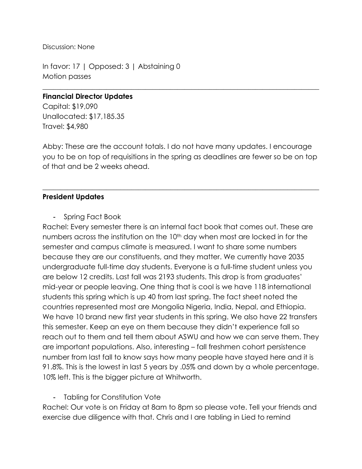Discussion: None

In favor: 17 | Opposed: 3 | Abstaining 0 Motion passes

#### **Financial Director Updates**

Capital: \$19,090 Unallocated: \$17,185.35 Travel: \$4,980

Abby: These are the account totals. I do not have many updates. I encourage you to be on top of requisitions in the spring as deadlines are fewer so be on top of that and be 2 weeks ahead.

 $\_$  , and the set of the set of the set of the set of the set of the set of the set of the set of the set of the set of the set of the set of the set of the set of the set of the set of the set of the set of the set of th

 $\_$  , and the set of the set of the set of the set of the set of the set of the set of the set of the set of the set of the set of the set of the set of the set of the set of the set of the set of the set of the set of th

### **President Updates**

- Spring Fact Book

Rachel: Every semester there is an internal fact book that comes out. These are numbers across the institution on the 10<sup>th</sup> day when most are locked in for the semester and campus climate is measured. I want to share some numbers because they are our constituents, and they matter. We currently have 2035 undergraduate full-time day students. Everyone is a full-time student unless you are below 12 credits. Last fall was 2193 students. This drop is from graduates' mid-year or people leaving. One thing that is cool is we have 118 international students this spring which is up 40 from last spring. The fact sheet noted the countries represented most are Mongolia Nigeria, India, Nepal, and Ethiopia. We have 10 brand new first year students in this spring. We also have 22 transfers this semester. Keep an eye on them because they didn't experience fall so reach out to them and tell them about ASWU and how we can serve them. They are important populations. Also, interesting – fall freshmen cohort persistence number from last fall to know says how many people have stayed here and it is 91.8%. This is the lowest in last 5 years by .05% and down by a whole percentage. 10% left. This is the bigger picture at Whitworth.

### - Tabling for Constitution Vote

Rachel: Our vote is on Friday at 8am to 8pm so please vote. Tell your friends and exercise due diligence with that. Chris and I are tabling in Lied to remind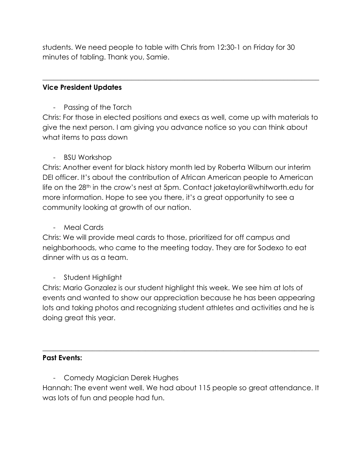students. We need people to table with Chris from 12:30-1 on Friday for 30 minutes of tabling. Thank you, Samie.

## **Vice President Updates**

- Passing of the Torch

Chris: For those in elected positions and execs as well, come up with materials to give the next person. I am giving you advance notice so you can think about what items to pass down

 $\_$  , and the set of the set of the set of the set of the set of the set of the set of the set of the set of the set of the set of the set of the set of the set of the set of the set of the set of the set of the set of th

## - BSU Workshop

Chris: Another event for black history month led by Roberta Wilburn our interim DEI officer. It's about the contribution of African American people to American life on the 28th in the crow's nest at 5pm. Contact jaketaylor@whitworth.edu for more information. Hope to see you there, it's a great opportunity to see a community looking at growth of our nation.

### - Meal Cards

Chris: We will provide meal cards to those, prioritized for off campus and neighborhoods, who came to the meeting today. They are for Sodexo to eat dinner with us as a team.

# - Student Highlight

Chris: Mario Gonzalez is our student highlight this week. We see him at lots of events and wanted to show our appreciation because he has been appearing lots and taking photos and recognizing student athletes and activities and he is doing great this year.

### **Past Events:**

- Comedy Magician Derek Hughes

Hannah: The event went well. We had about 115 people so great attendance. It was lots of fun and people had fun.

 $\_$  , and the set of the set of the set of the set of the set of the set of the set of the set of the set of the set of the set of the set of the set of the set of the set of the set of the set of the set of the set of th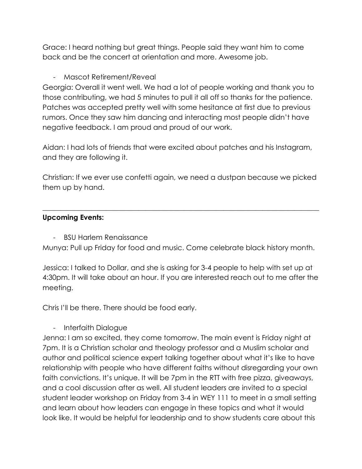Grace: I heard nothing but great things. People said they want him to come back and be the concert at orientation and more. Awesome job.

# - Mascot Retirement/Reveal

Georgia: Overall it went well. We had a lot of people working and thank you to those contributing, we had 5 minutes to pull it all off so thanks for the patience. Patches was accepted pretty well with some hesitance at first due to previous rumors. Once they saw him dancing and interacting most people didn't have negative feedback. I am proud and proud of our work.

Aidan: I had lots of friends that were excited about patches and his Instagram, and they are following it.

Christian: If we ever use confetti again, we need a dustpan because we picked them up by hand.

 $\_$  , and the set of the set of the set of the set of the set of the set of the set of the set of the set of the set of the set of the set of the set of the set of the set of the set of the set of the set of the set of th

# **Upcoming Events:**

- BSU Harlem Renaissance

Munya: Pull up Friday for food and music. Come celebrate black history month.

Jessica: I talked to Dollar, and she is asking for 3-4 people to help with set up at 4:30pm. It will take about an hour. If you are interested reach out to me after the meeting.

Chris I'll be there. There should be food early.

- Interfaith Dialogue

Jenna: I am so excited, they come tomorrow. The main event is Friday night at 7pm. It is a Christian scholar and theology professor and a Muslim scholar and author and political science expert talking together about what it's like to have relationship with people who have different faiths without disregarding your own faith convictions. It's unique. It will be 7pm in the RTT with free pizza, giveaways, and a cool discussion after as well. All student leaders are invited to a special student leader workshop on Friday from 3-4 in WEY 111 to meet in a small setting and learn about how leaders can engage in these topics and what it would look like. It would be helpful for leadership and to show students care about this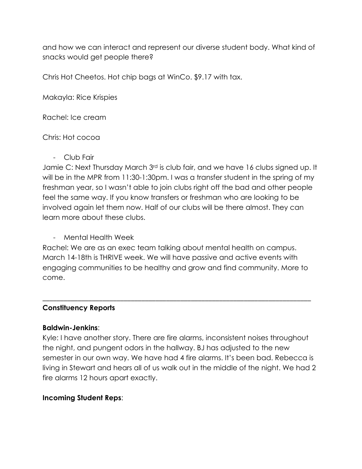and how we can interact and represent our diverse student body. What kind of snacks would get people there?

Chris Hot Cheetos. Hot chip bags at WinCo. \$9.17 with tax.

Makayla: Rice Krispies

Rachel: Ice cream

### Chris: Hot cocoa

- Club Fair

Jamie C: Next Thursday March 3rd is club fair, and we have 16 clubs signed up. It will be in the MPR from 11:30-1:30pm. I was a transfer student in the spring of my freshman year, so I wasn't able to join clubs right off the bad and other people feel the same way. If you know transfers or freshman who are looking to be involved again let them now. Half of our clubs will be there almost. They can learn more about these clubs.

- Mental Health Week

Rachel: We are as an exec team talking about mental health on campus. March 14-18th is THRIVE week. We will have passive and active events with engaging communities to be healthy and grow and find community. More to come.

\_\_\_\_\_\_\_\_\_\_\_\_\_\_\_\_\_\_\_\_\_\_\_\_\_\_\_\_\_\_\_\_\_\_\_\_\_\_\_\_\_\_\_\_\_\_\_\_\_\_\_\_\_\_\_\_\_\_\_\_\_\_\_\_\_\_\_\_\_\_\_\_\_\_\_\_

### **Constituency Reports**

### **Baldwin-Jenkins**:

Kyle: I have another story. There are fire alarms, inconsistent noises throughout the night, and pungent odors in the hallway. BJ has adjusted to the new semester in our own way. We have had 4 fire alarms. It's been bad. Rebecca is living in Stewart and hears all of us walk out in the middle of the night. We had 2 fire alarms 12 hours apart exactly.

# **Incoming Student Reps**: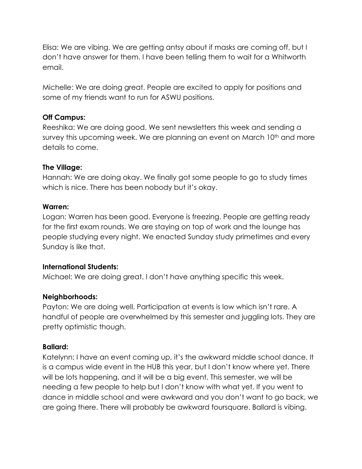Elisa: We are vibing. We are getting antsy about if masks are coming off, but I don't have answer for them. I have been telling them to wait for a Whitworth email.

Michelle: We are doing great. People are excited to apply for positions and some of my friends want to run for ASWU positions.

### **Off Campus:**

Reeshika: We are doing good. We sent newsletters this week and sending a survey this upcoming week. We are planning an event on March 10<sup>th</sup> and more details to come.

## **The Village:**

Hannah: We are doing okay. We finally got some people to go to study times which is nice. There has been nobody but it's okay.

## **Warren:**

Logan: Warren has been good. Everyone is freezing. People are getting ready for the first exam rounds. We are staying on top of work and the lounge has people studying every night. We enacted Sunday study primetimes and every Sunday is like that.

# **International Students:**

Michael: We are doing great. I don't have anything specific this week.

# **Neighborhoods:**

Payton: We are doing well. Participation at events is low which isn't rare. A handful of people are overwhelmed by this semester and juggling lots. They are pretty optimistic though.

# **Ballard:**

Katelynn: I have an event coming up, it's the awkward middle school dance. It is a campus wide event in the HUB this year, but I don't know where yet. There will be lots happening, and it will be a big event. This semester, we will be needing a few people to help but I don't know with what yet. If you went to dance in middle school and were awkward and you don't want to go back, we are going there. There will probably be awkward foursquare. Ballard is vibing.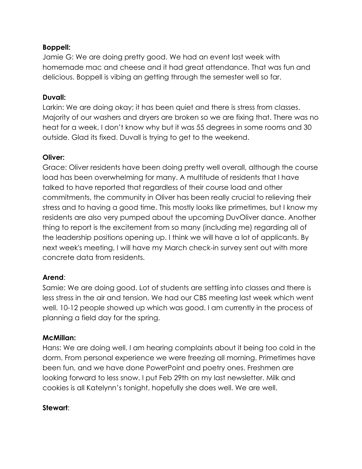## **Boppell:**

Jamie G: We are doing pretty good. We had an event last week with homemade mac and cheese and it had great attendance. That was fun and delicious. Boppell is vibing an getting through the semester well so far.

### **Duvall:**

Larkin: We are doing okay; it has been quiet and there is stress from classes. Majority of our washers and dryers are broken so we are fixing that. There was no heat for a week, I don't know why but it was 55 degrees in some rooms and 30 outside. Glad its fixed. Duvall is trying to get to the weekend.

## **Oliver:**

Grace: Oliver residents have been doing pretty well overall, although the course load has been overwhelming for many. A multitude of residents that I have talked to have reported that regardless of their course load and other commitments, the community in Oliver has been really crucial to relieving their stress and to having a good time. This mostly looks like primetimes, but I know my residents are also very pumped about the upcoming DuvOliver dance. Another thing to report is the excitement from so many (including me) regarding all of the leadership positions opening up. I think we will have a lot of applicants. By next week's meeting, I will have my March check-in survey sent out with more concrete data from residents.

# **Arend**:

Samie: We are doing good. Lot of students are settling into classes and there is less stress in the air and tension. We had our CBS meeting last week which went well. 10-12 people showed up which was good. I am currently in the process of planning a field day for the spring.

### **McMillan:**

Hans: We are doing well. I am hearing complaints about it being too cold in the dorm. From personal experience we were freezing all morning. Primetimes have been fun, and we have done PowerPoint and poetry ones. Freshmen are looking forward to less snow. I put Feb 29th on my last newsletter. Milk and cookies is all Katelynn's tonight, hopefully she does well. We are well.

# **Stewart**: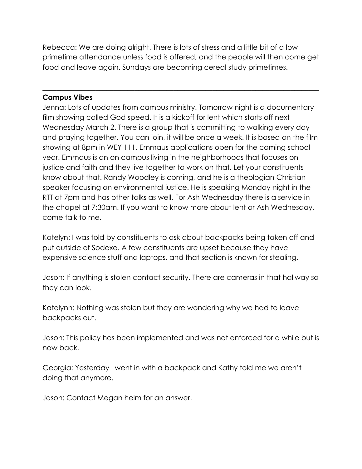Rebecca: We are doing alright. There is lots of stress and a little bit of a low primetime attendance unless food is offered, and the people will then come get food and leave again. Sundays are becoming cereal study primetimes.

\_\_\_\_\_\_\_\_\_\_\_\_\_\_\_\_\_\_\_\_\_\_\_\_\_\_\_\_\_\_\_\_\_\_\_\_\_\_\_\_\_\_\_\_\_\_\_\_\_\_\_\_\_\_\_\_\_\_\_\_\_\_\_\_\_\_\_\_\_\_\_\_\_\_\_\_\_\_

## **Campus Vibes**

Jenna: Lots of updates from campus ministry. Tomorrow night is a documentary film showing called God speed. It is a kickoff for lent which starts off next Wednesday March 2. There is a group that is committing to walking every day and praying together. You can join, it will be once a week. It is based on the film showing at 8pm in WEY 111. Emmaus applications open for the coming school year. Emmaus is an on campus living in the neighborhoods that focuses on justice and faith and they live together to work on that. Let your constituents know about that. Randy Woodley is coming, and he is a theologian Christian speaker focusing on environmental justice. He is speaking Monday night in the RTT at 7pm and has other talks as well. For Ash Wednesday there is a service in the chapel at 7:30am. If you want to know more about lent or Ash Wednesday, come talk to me.

Katelyn: I was told by constituents to ask about backpacks being taken off and put outside of Sodexo. A few constituents are upset because they have expensive science stuff and laptops, and that section is known for stealing.

Jason: If anything is stolen contact security. There are cameras in that hallway so they can look.

Katelynn: Nothing was stolen but they are wondering why we had to leave backpacks out.

Jason: This policy has been implemented and was not enforced for a while but is now back.

Georgia: Yesterday I went in with a backpack and Kathy told me we aren't doing that anymore.

Jason: Contact Megan helm for an answer.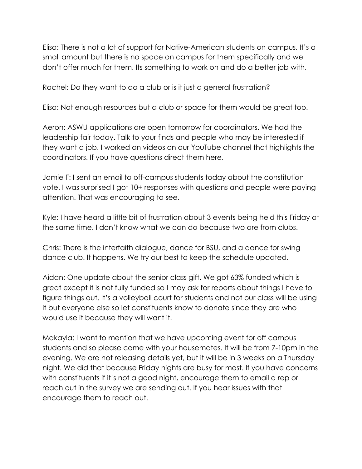Elisa: There is not a lot of support for Native-American students on campus. It's a small amount but there is no space on campus for them specifically and we don't offer much for them. Its something to work on and do a better job with.

Rachel: Do they want to do a club or is it just a general frustration?

Elisa: Not enough resources but a club or space for them would be great too.

Aeron: ASWU applications are open tomorrow for coordinators. We had the leadership fair today. Talk to your finds and people who may be interested if they want a job. I worked on videos on our YouTube channel that highlights the coordinators. If you have questions direct them here.

Jamie F: I sent an email to off-campus students today about the constitution vote. I was surprised I got 10+ responses with questions and people were paying attention. That was encouraging to see.

Kyle: I have heard a little bit of frustration about 3 events being held this Friday at the same time. I don't know what we can do because two are from clubs.

Chris: There is the interfaith dialogue, dance for BSU, and a dance for swing dance club. It happens. We try our best to keep the schedule updated.

Aidan: One update about the senior class gift. We got 63% funded which is great except it is not fully funded so I may ask for reports about things I have to figure things out. It's a volleyball court for students and not our class will be using it but everyone else so let constituents know to donate since they are who would use it because they will want it.

Makayla: I want to mention that we have upcoming event for off campus students and so please come with your housemates. It will be from 7-10pm in the evening. We are not releasing details yet, but it will be in 3 weeks on a Thursday night. We did that because Friday nights are busy for most. If you have concerns with constituents if it's not a good night, encourage them to email a rep or reach out in the survey we are sending out. If you hear issues with that encourage them to reach out.